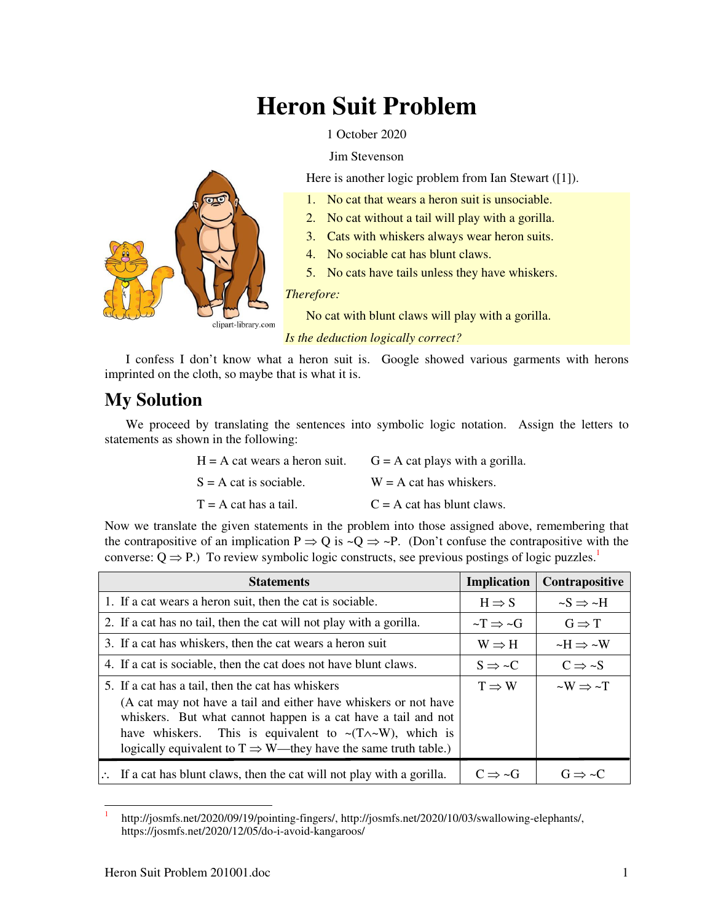# **Heron Suit Problem**

1 October 2020

### Jim Stevenson

Here is another logic problem from Ian Stewart ([1]).

- 1. No cat that wears a heron suit is unsociable.
- 2. No cat without a tail will play with a gorilla.
- 3. Cats with whiskers always wear heron suits.
- 4. No sociable cat has blunt claws.
- 5. No cats have tails unless they have whiskers.

#### *Therefore:*

No cat with blunt claws will play with a gorilla.

*Is the deduction logically correct?* 

I confess I don't know what a heron suit is. Google showed various garments with herons imprinted on the cloth, so maybe that is what it is.

# **My Solution**

We proceed by translating the sentences into symbolic logic notation. Assign the letters to statements as shown in the following:

| $H = A$ cat wears a heron suit. | $G = A$ cat plays with a gorilla. |
|---------------------------------|-----------------------------------|
| $S = A$ cat is sociable.        | $W = A$ cat has whiskers.         |
| $T = A$ cat has a tail.         | $C = A$ cat has blunt claws.      |

Now we translate the given statements in the problem into those assigned above, remembering that the contrapositive of an implication  $P \Rightarrow Q$  is  $\sim Q \Rightarrow \sim P$ . (Don't confuse the contrapositive with the converse:  $Q \Rightarrow P$ .) To review symbolic logic constructs, see previous postings of logic puzzles.<sup>1</sup>

| <b>Statements</b>                                                                                                                                                                                                                                                                                                                               | <b>Implication</b>          | Contrapositive              |
|-------------------------------------------------------------------------------------------------------------------------------------------------------------------------------------------------------------------------------------------------------------------------------------------------------------------------------------------------|-----------------------------|-----------------------------|
| 1. If a cat wears a heron suit, then the cat is sociable.                                                                                                                                                                                                                                                                                       | $H \Rightarrow S$           | $-S \Rightarrow \neg H$     |
| 2. If a cat has no tail, then the cat will not play with a gorilla.                                                                                                                                                                                                                                                                             | $\sim T \Rightarrow \sim G$ | $G \Rightarrow T$           |
| 3. If a cat has whiskers, then the cat wears a heron suit                                                                                                                                                                                                                                                                                       | $W \Rightarrow H$           | $-H \Rightarrow \sim W$     |
| 4. If a cat is sociable, then the cat does not have blunt claws.                                                                                                                                                                                                                                                                                | $S \Rightarrow C$           | $C \Rightarrow S$           |
| 5. If a cat has a tail, then the cat has whiskers<br>(A cat may not have a tail and either have whiskers or not have<br>whiskers. But what cannot happen is a cat have a tail and not<br>have whiskers. This is equivalent to $\sim(T \wedge \sim W)$ , which is<br>logically equivalent to $T \Rightarrow W$ —they have the same truth table.) | $T \Rightarrow W$           | $\sim W \Rightarrow \sim T$ |
| If a cat has blunt claws, then the cat will not play with a gorilla.                                                                                                                                                                                                                                                                            | $C \Rightarrow \sim G$      | $G \Rightarrow \sim C$      |

<sup>&</sup>lt;u>.</u> 1 http://josmfs.net/2020/09/19/pointing-fingers/, http://josmfs.net/2020/10/03/swallowing-elephants/, https://josmfs.net/2020/12/05/do-i-avoid-kangaroos/